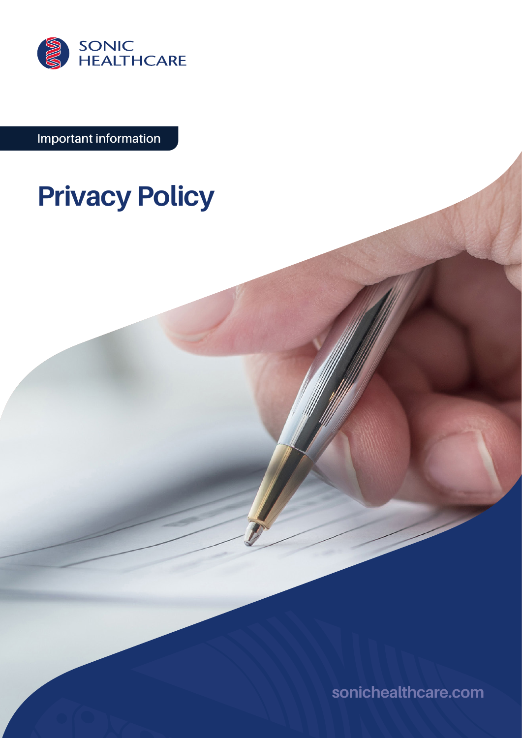

**Important information**

# **Privacy Policy**

**[sonichealthcare.com](http://sonichealthcare.com)**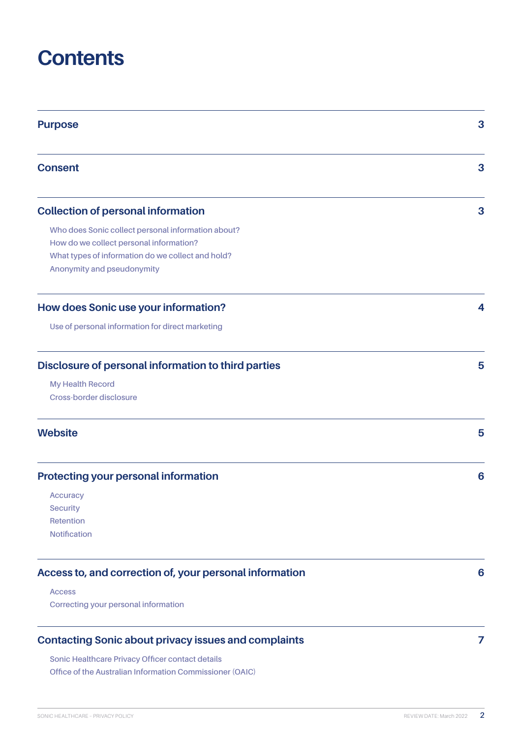## **Contents**

| <b>Purpose</b>                                                                                                                                                                   | 3 |
|----------------------------------------------------------------------------------------------------------------------------------------------------------------------------------|---|
| <b>Consent</b>                                                                                                                                                                   | 3 |
| <b>Collection of personal information</b>                                                                                                                                        | 3 |
| Who does Sonic collect personal information about?<br>How do we collect personal information?<br>What types of information do we collect and hold?<br>Anonymity and pseudonymity |   |
| How does Sonic use your information?                                                                                                                                             | 4 |
| Use of personal information for direct marketing                                                                                                                                 |   |
| Disclosure of personal information to third parties                                                                                                                              | 5 |
| <b>My Health Record</b><br>Cross-border disclosure                                                                                                                               |   |
| <b>Website</b>                                                                                                                                                                   | 5 |
| <b>Protecting your personal information</b>                                                                                                                                      | 6 |
| <b>Accuracy</b><br><b>Security</b><br>Retention<br><b>Notification</b>                                                                                                           |   |
| Access to, and correction of, your personal information                                                                                                                          | 6 |
| <b>Access</b><br>Correcting your personal information                                                                                                                            |   |
| <b>Contacting Sonic about privacy issues and complaints</b><br>Sonic Healthcare Privacy Officer contact details                                                                  | 7 |

**[Office of the Australian Information Commissioner \(OAIC\)](#page-6-0)**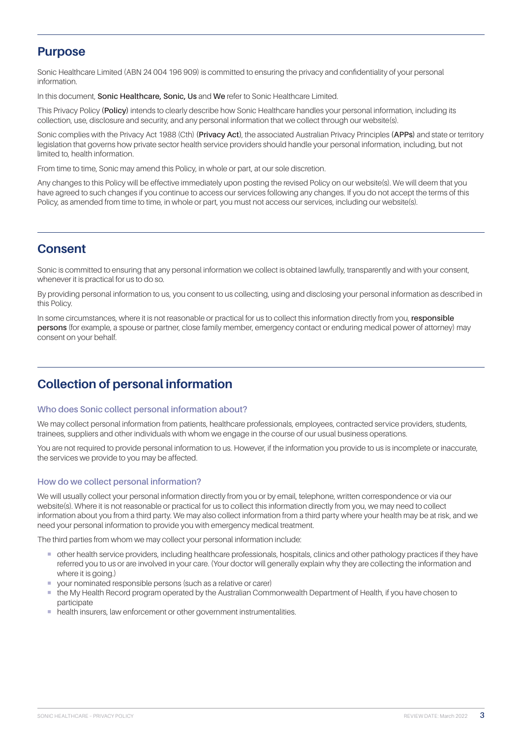## <span id="page-2-0"></span>**Purpose**

Sonic Healthcare Limited (ABN 24 004 196 909) is committed to ensuring the privacy and confidentiality of your personal information.

In this document, **Sonic Healthcare, Sonic, Us** and **We** refer to Sonic Healthcare Limited.

This Privacy Policy **(Policy)** intends to clearly describe how Sonic Healthcare handles your personal information, including its collection, use, disclosure and security, and any personal information that we collect through our website(s).

Sonic complies with the Privacy Act 1988 (Cth) **(Privacy Act)**, the associated Australian Privacy Principles **(APPs)** and state or territory legislation that governs how private sector health service providers should handle your personal information, including, but not limited to, health information.

From time to time, Sonic may amend this Policy, in whole or part, at our sole discretion.

Any changes to this Policy will be effective immediately upon posting the revised Policy on our website(s). We will deem that you have agreed to such changes if you continue to access our services following any changes. If you do not accept the terms of this Policy, as amended from time to time, in whole or part, you must not access our services, including our website(s).

## **Consent**

Sonic is committed to ensuring that any personal information we collect is obtained lawfully, transparently and with your consent, whenever it is practical for us to do so.

By providing personal information to us, you consent to us collecting, using and disclosing your personal information as described in this Policy.

In some circumstances, where it is not reasonable or practical for us to collect this information directly from you, **responsible persons** (for example, a spouse or partner, close family member, emergency contact or enduring medical power of attorney) may consent on your behalf.

## **Collection of personal information**

## **Who does Sonic collect personal information about?**

We may collect personal information from patients, healthcare professionals, employees, contracted service providers, students, trainees, suppliers and other individuals with whom we engage in the course of our usual business operations.

You are not required to provide personal information to us. However, if the information you provide to us is incomplete or inaccurate the services we provide to you may be affected.

## **How do we collect personal information?**

We will usually collect your personal information directly from you or by email, telephone, written correspondence or via our website(s). Where it is not reasonable or practical for us to collect this information directly from you, we may need to collect information about you from a third party. We may also collect information from a third party where your health may be at risk, and we need your personal information to provide you with emergency medical treatment.

The third parties from whom we may collect your personal information include:

- ¡ other health service providers, including healthcare professionals, hospitals, clinics and other pathology practices if they have referred you to us or are involved in your care. (Your doctor will generally explain why they are collecting the information and where it is going.)
- vour nominated responsible persons (such as a relative or carer)
- ¡ the My Health Record program operated by the Australian Commonwealth Department of Health, if you have chosen to **participate**
- health insurers, law enforcement or other government instrumentalities.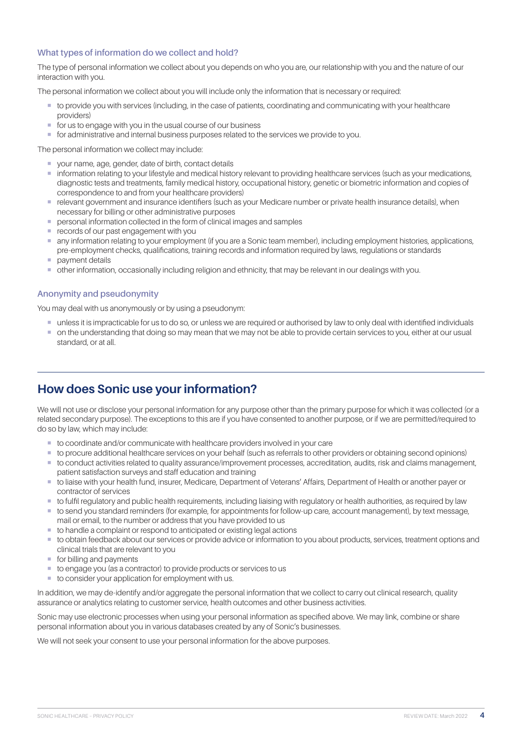## <span id="page-3-0"></span>**What types of information do we collect and hold?**

The type of personal information we collect about you depends on who you are, our relationship with you and the nature of our interaction with you.

The personal information we collect about you will include only the information that is necessary or required:

- ¡ to provide you with services (including, in the case of patients, coordinating and communicating with your healthcare providers)
- for us to engage with you in the usual course of our business
- ¡ for administrative and internal business purposes related to the services we provide to you.

The personal information we collect may include:

- ¡ your name, age, gender, date of birth, contact details
- **information relating to your lifestyle and medical history relevant to providing healthcare services (such as your medications,** diagnostic tests and treatments, family medical history, occupational history, genetic or biometric information and copies of correspondence to and from your healthcare providers)
- **E** relevant government and insurance identifiers (such as your Medicare number or private health insurance details), when necessary for billing or other administrative purposes
- personal information collected in the form of clinical images and samples
- **E** records of our past engagement with you
- ¡ any information relating to your employment (if you are a Sonic team member), including employment histories, applications, pre-employment checks, qualifications, training records and information required by laws, regulations or standards
- **•** payment details
- ¡ other information, occasionally including religion and ethnicity, that may be relevant in our dealings with you.

### **Anonymity and pseudonymity**

You may deal with us anonymously or by using a pseudonym:

- ¡ unless it is impracticable for us to do so, or unless we are required or authorised by law to only deal with identified individuals
- ¡ on the understanding that doing so may mean that we may not be able to provide certain services to you, either at our usual standard, or at all.

## **How does Sonic use your information?**

We will not use or disclose your personal information for any purpose other than the primary purpose for which it was collected (or a related secondary purpose). The exceptions to this are if you have consented to another purpose, or if we are permitted/required to do so by law, which may include:

- ¡ to coordinate and/or communicate with healthcare providers involved in your care
- ¡ to procure additional healthcare services on your behalf (such as referrals to other providers or obtaining second opinions)
- ¡ to conduct activities related to quality assurance/improvement processes, accreditation, audits, risk and claims management, patient satisfaction surveys and staff education and training
- to liaise with your health fund, insurer, Medicare, Department of Veterans' Affairs, Department of Health or another payer or contractor of services
- ¡ to fulfil regulatory and public health requirements, including liaising with regulatory or health authorities, as required by law
- ¡ to send you standard reminders (for example, for appointments for follow-up care, account management), by text message, mail or email, to the number or address that you have provided to us
- ¡ to handle a complaint or respond to anticipated or existing legal actions
- ¡ to obtain feedback about our services or provide advice or information to you about products, services, treatment options and clinical trials that are relevant to you
- for billing and payments
- to engage you (as a contractor) to provide products or services to us
- to consider your application for employment with us.

In addition, we may de-identify and/or aggregate the personal information that we collect to carry out clinical research, quality assurance or analytics relating to customer service, health outcomes and other business activities.

Sonic may use electronic processes when using your personal information as specified above. We may link, combine or share personal information about you in various databases created by any of Sonic's businesses.

We will not seek your consent to use your personal information for the above purposes.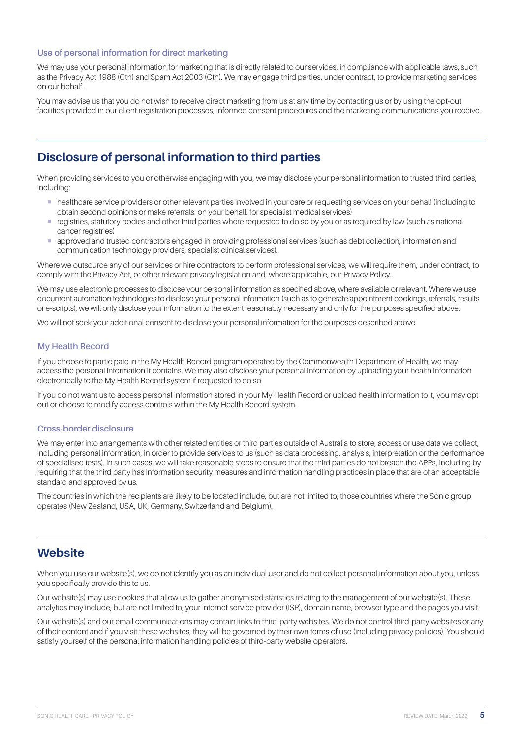## <span id="page-4-0"></span>**Use of personal information for direct marketing**

We may use your personal information for marketing that is directly related to our services, in compliance with applicable laws, such as the Privacy Act 1988 (Cth) and Spam Act 2003 (Cth). We may engage third parties, under contract, to provide marketing services on our behalf.

You may advise us that you do not wish to receive direct marketing from us at any time by contacting us or by using the opt-out facilities provided in our client registration processes, informed consent procedures and the marketing communications you receive.

## **Disclosure of personal information to third parties**

When providing services to you or otherwise engaging with you, we may disclose your personal information to trusted third parties, including:

- ¡ healthcare service providers or other relevant parties involved in your care or requesting services on your behalf (including to obtain second opinions or make referrals, on your behalf, for specialist medical services)
- ¡ registries, statutory bodies and other third parties where requested to do so by you or as required by law (such as national cancer registries)
- ¡ approved and trusted contractors engaged in providing professional services (such as debt collection, information and communication technology providers, specialist clinical services).

Where we outsource any of our services or hire contractors to perform professional services, we will require them, under contract, to comply with the Privacy Act, or other relevant privacy legislation and, where applicable, our Privacy Policy.

We may use electronic processes to disclose your personal information as specified above, where available or relevant. Where we use document automation technologies to disclose your personal information (such as to generate appointment bookings, referrals, results or e-scripts), we will only disclose your information to the extent reasonably necessary and only for the purposes specified above.

We will not seek your additional consent to disclose your personal information for the purposes described above.

#### **My Health Record**

If you choose to participate in the My Health Record program operated by the Commonwealth Department of Health, we may access the personal information it contains. We may also disclose your personal information by uploading your health information electronically to the My Health Record system if requested to do so.

If you do not want us to access personal information stored in your My Health Record or upload health information to it, you may opt out or choose to modify access controls within the My Health Record system.

#### **Cross-border disclosure**

We may enter into arrangements with other related entities or third parties outside of Australia to store, access or use data we collect, including personal information, in order to provide services to us (such as data processing, analysis, interpretation or the performance of specialised tests). In such cases, we will take reasonable steps to ensure that the third parties do not breach the APPs, including by requiring that the third party has information security measures and information handling practices in place that are of an acceptable standard and approved by us.

The countries in which the recipients are likely to be located include, but are not limited to, those countries where the Sonic group operates (New Zealand, USA, UK, Germany, Switzerland and Belgium).

## **Website**

When you use our website(s), we do not identify you as an individual user and do not collect personal information about you, unless you specifically provide this to us.

Our website(s) may use cookies that allow us to gather anonymised statistics relating to the management of our website(s). These analytics may include, but are not limited to, your internet service provider (ISP), domain name, browser type and the pages you visit.

Our website(s) and our email communications may contain links to third-party websites. We do not control third-party websites or any of their content and if you visit these websites, they will be governed by their own terms of use (including privacy policies). You should satisfy yourself of the personal information handling policies of third-party website operators.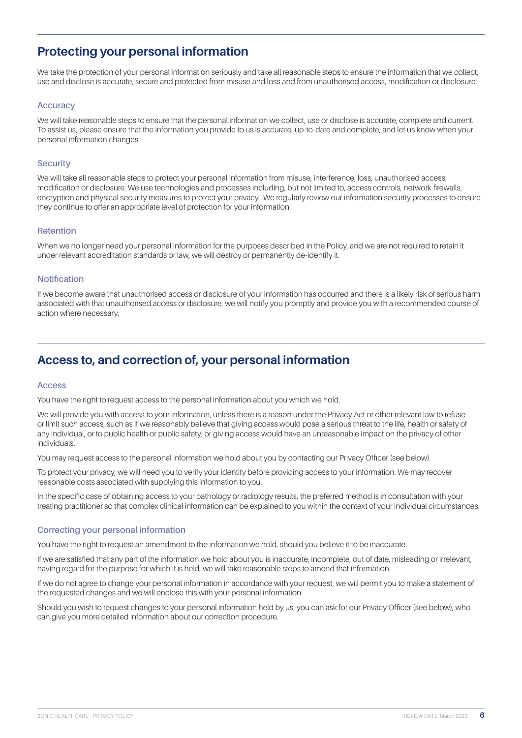## <span id="page-5-0"></span>**Protecting your personal information**

We take the protection of your personal information seriously and take all reasonable steps to ensure the information that we collect, use and disclose is accurate, secure and protected from misuse and loss and from unauthorised access, modification or disclosure.

#### **Accuracy**

We will take reasonable steps to ensure that the personal information we collect, use or disclose is accurate, complete and current. To assist us, please ensure that the information you provide to us is accurate, up-to-date and complete, and let us know when your personal information changes.

#### **Security**

We will take all reasonable steps to protect your personal information from misuse, interference, loss, unauthorised access, modification or disclosure. We use technologies and processes including, but not limited to, access controls, network firewalls, encryption and physical security measures to protect your privacy. We regularly review our information security processes to ensure they continue to offer an appropriate level of protection for your information.

#### **Retention**

When we no longer need your personal information for the purposes described in the Policy, and we are not required to retain it under relevant accreditation standards or law, we will destroy or permanently de-identify it.

#### **Notification**

If we become aware that unauthorised access or disclosure of your information has occurred and there is a likely risk of serious harm associated with that unauthorised access or disclosure, we will notify you promptly and provide you with a recommended course of action where necessary.

## **Access to, and correction of, your personal information**

#### **Access**

You have the right to request access to the personal information about you which we hold.

We will provide you with access to your information, unless there is a reason under the Privacy Act or other relevant law to refuse or limit such access, such as if we reasonably believe that giving access would pose a serious threat to the life, health or safety of any individual, or to public health or public safety; or giving access would have an unreasonable impact on the privacy of other individuals.

You may request access to the personal information we hold about you by contacting our Privacy Officer (see below).

To protect your privacy, we will need you to verify your identity before providing access to your information. We may recover reasonable costs associated with supplying this information to you.

In the specific case of obtaining access to your pathology or radiology results, the preferred method is in consultation with your treating practitioner so that complex clinical information can be explained to you within the context of your individual circumstances.

#### **Correcting your personal information**

You have the right to request an amendment to the information we hold, should you believe it to be inaccurate.

If we are satisfied that any part of the information we hold about you is inaccurate, incomplete, out of date, misleading or irrelevant, having regard for the purpose for which it is held, we will take reasonable steps to amend that information.

If we do not agree to change your personal information in accordance with your request, we will permit you to make a statement of the requested changes and we will enclose this with your personal information.

Should you wish to request changes to your personal information held by us, you can ask for our Privacy Officer (see below), who can give you more detailed information about our correction procedure.